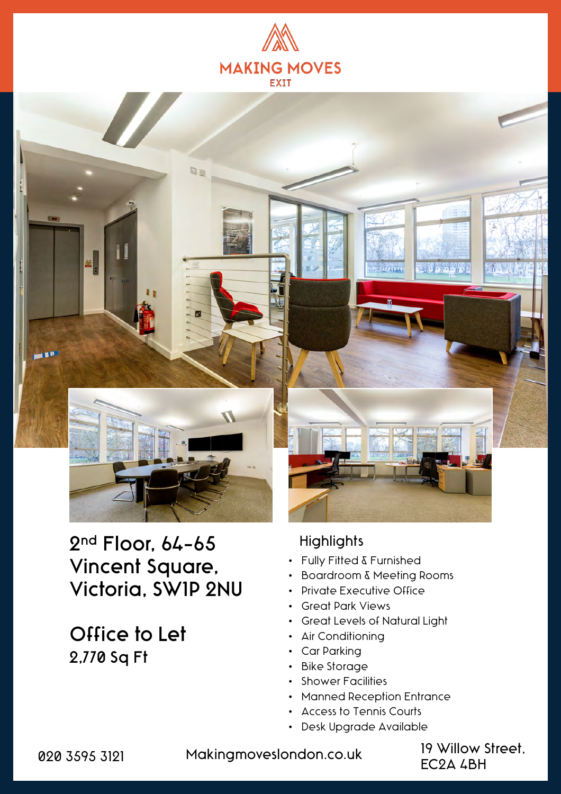



# 2nd Floor, 64-65 Vincent Square, Victoria, SW1P 2NU

Office to Let 2,770 Sq Ft

#### **Highlights**

- Fully Fitted & Furnished
- Boardroom & Meeting Rooms
- Private Executive Office
- Great Park Views
- Great Levels of Natural Light
- Air Conditioning
- Car Parking
- Bike Storage
- Shower Facilities
- Manned Reception Entrance
- Access to Tennis Courts
- Desk Upgrade Available

020 3595 3121 Makingmoveslondon.co.uk 19 Willow Street,

EC2A 4BH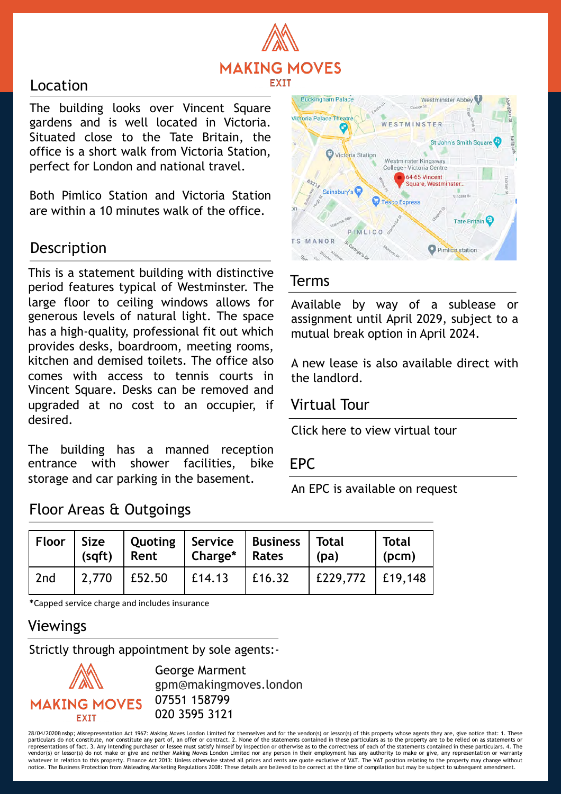

#### Location

The building looks over Vincent Square gardens and is well located in Victoria. Situated close to the Tate Britain, the office is a short walk from Victoria Station, perfect for London and national travel.

Both Pimlico Station and Victoria Station are within a 10 minutes walk of the office.

## Description

This is a statement building with distinctive period features typical of Westminster. The large floor to ceiling windows allows for generous levels of natural light. The space has a high-quality, professional fit out which provides desks, boardroom, meeting rooms, kitchen and demised toilets. The office also comes with access to tennis courts in Vincent Square. Desks can be removed and upgraded at no cost to an occupier, if desired.

The building has a manned reception entrance with shower facilities, bike storage and car parking in the basement.



#### Terms

Available by way of a sublease or assignment until April 2029, subject to a mutual break option in April 2024.

A new lease is also available direct with the landlord.

### Virtual Tour

Click here to view [virtual](https://my.matterport.com/show/?m=HxTpamHeNXA) tour

#### EPC

An EPC is available on request

| <b>Floor</b> | $\vert$ Size<br>(sqft) | Rent   | Charge*   Rates | Quoting   Service   Business   Total | (pa)                   | <b>Total</b><br>(pcm) |
|--------------|------------------------|--------|-----------------|--------------------------------------|------------------------|-----------------------|
| 2nd          | 2,770                  | E52.50 | $\vert$ £14.13  | $\vert$ £16.32                       | $E229,772$   $E19,148$ |                       |

\*Capped service charge and includes insurance

Floor Areas & Outgoings

# Viewings

Strictly through appointment by sole agents:-



George Marment gpm@makingmoves.london 07551 158799 020 3595 3121

28/04/2020&nsbp; Misrepresentation Act 1967: Making Moves London Limited for themselves and for the vendor(s) or lessor(s) of this property whose agents they are, give notice that: 1. These<br>particulars do not constitute, n representations of fact. 3. Any intending purchaser or lessee must satisfy himself by inspection or otherwise as to the correctness of each of the statements contained in these particulars. 4. The representations of acth o vendor(s) or lessor(s) do not make or give and neither Making Moves London Limited nor any person in their employment has any authority to make or give, any representation or warranty whatever in relation to this property. Finance Act 2013: Unless otherwise stated all prices and rents are quote exclusive of VAT. The VAT position relating to the property may change without<br>notice. The Business Protection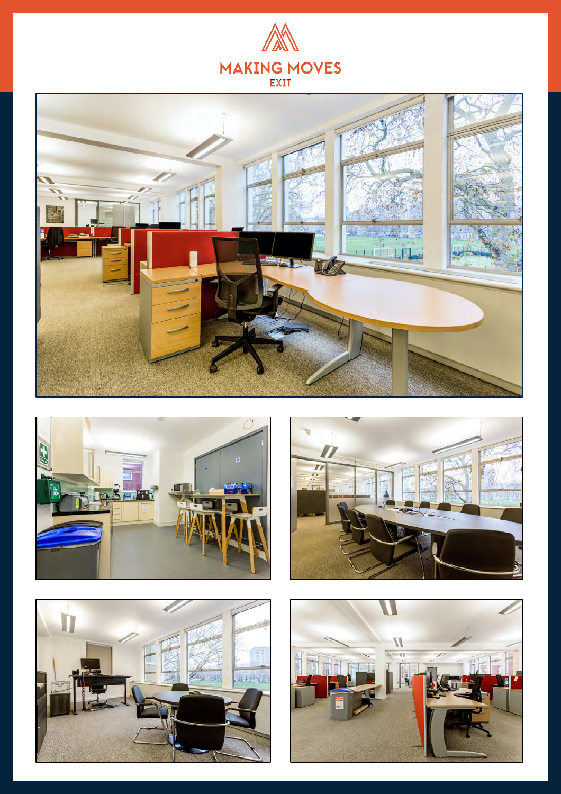









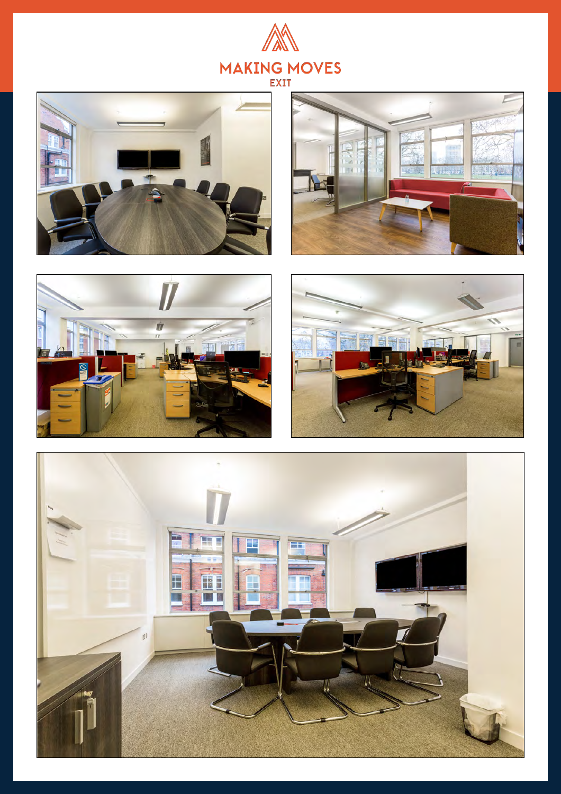